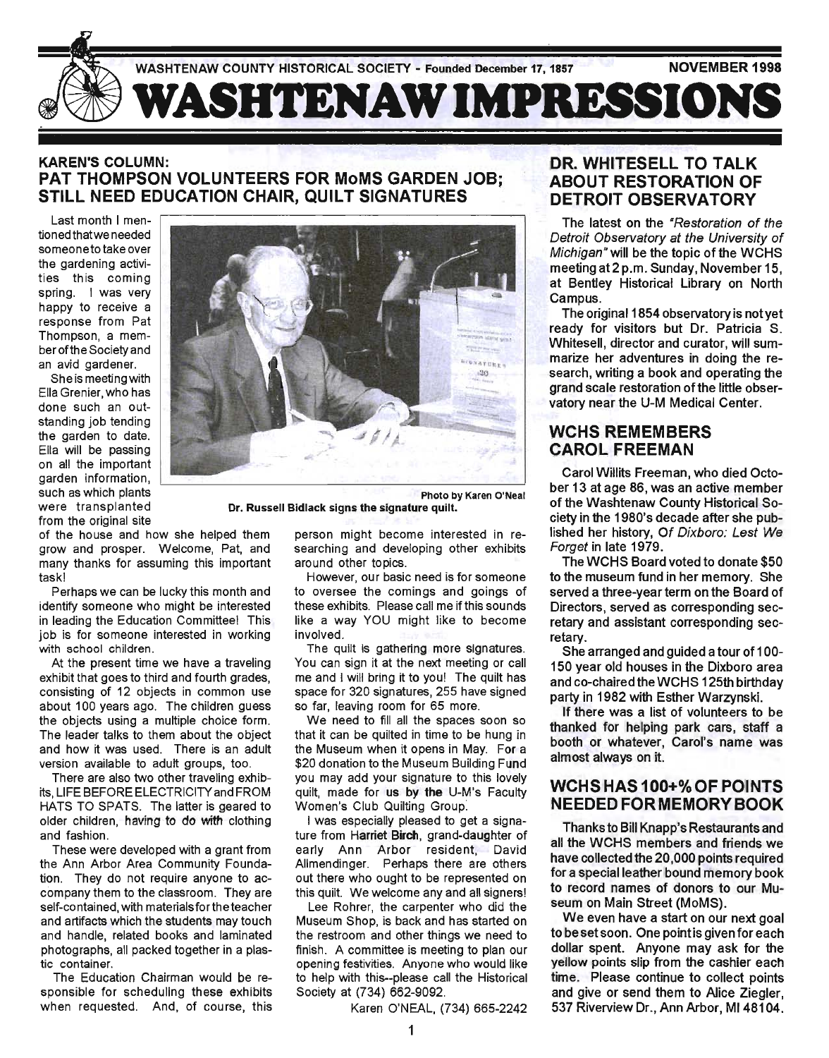

#### KAREN'S COLUMN: PAT THOMPSON VOLUNTEERS FOR MoMS GARDEN JOB; STILL NEED EDUCATION CHAIR, QUILT SIGNATURES

Last month I mentioned thatwe needed someoneto take over the gardening activities this coming spring. I was very happy to receive a response from Pat Thompson, a memberoftheSocietyand an avid gardener.

She is meeting with Ella Grenier, who has done such an outstanding job tending the garden to date. Ella will be passing on all the important garden information, such as which plants were transplanted from the original site



Dr. Russell Bidlack signs the signature quilt.

of the house and how she helped them grow and prosper. Welcome, Pat, and many thanks for assuming this important task!

Perhaps we can be lucky this month and identify someone who might be interested in leading the Education Committee! This job is for someone interested in working with school children.

At the present time we have a traveling exhibit that goes to third and fourth grades, consisting of 12 objects in common use about 100 years ago. The children guess the objects using a multiple choice form. The leader talks to them about the object and how it was used. There is an adult version available to adult groups, too.

There are also two other traveling exhibits, LIFE BEFORE ELECTRICITY and FROM HATS TO SPATS. The latter is geared to older children, having to do with clothing and fashion.

These were developed with a grant from the Ann Arbor Area Community Foundation. They do not require anyone to accompany them to the classroom. They are self-contained, with materials for the teacher and artifacts which the students may touch and handle, related books and laminated photographs, all packed together in a plastic container.

The Education Chairman would be responsible for scheduling these exhibits when requested. And, of course, this

person might become interested in researching and developing other exhibits around other topics.

However, our basic need is for someone to oversee the comings and goings of these exhibits. Please call me if this sounds like a way YOU might like to become involved.

The quilt is gathering more signatures. You can sign it at the next meeting or call me and I will bring it to you! The quilt has space for 320 signatures, 255 have signed so far, leaving room for 65 more.

We need to fill all the spaces soon so that it can be quilted in time to be hung in the Museum when it opens in May. For a \$20 donation to the Museum Building Fund you may add your signature to this lovely quilt, made for us by the U-M's Faculty Women's Club Quilting Group.

I was especially pleased to get a signature from Harriet Birch, grand-daughter of early Ann Arbor resident, David Allmendinger. Perhaps there are others out there who ought to be represented on this quilt. We welcome any and all signers!

Lee Rohrer, the carpenter who did the Museum Shop, is back and has started on the restroom and other things we need to finish. A committee is meeting to plan our opening festivities. Anyone who would like to help with this--please call the Historical Society at (734) 662-9092.

Karen O'NEAL, (734) 665-2242

#### DR. WHITESELL TO TALK ABOUT RESTORATION OF DETROIT OBSERVATORY

The latest on the "Restoration of the Detroit Observatory at the University of Michigan» will be the topic of the WCHS meeting at2 p.m. Sunday, November 15, at Bentley Historical Library on North Campus.

The original 1854 observatory is not yet ready for visitors but Dr. Patricia S. Whitesell, director and curator, will summarize her adventures in doing the research, writing a book and operating the grand scale restoration of the little observatory near the U-M Medical Center.

## WCHS REMEMBERS CAROL FREEMAN

Carol Willits Freeman, who died October 13 at age 86, was an active member of the Washtenaw County Historical Society in the 1980's decade after she published her history, Of Dixboro: Lest We Forget in late 1979.

The WCHS Board voted to donate \$50 to the museum fund in her memory. She served a three-year term on the Board of Directors, served as corresponding secretary and assistant corresponding secretary.

She arranged and guided a tour of 100-150 year old houses in the Dixboro area and co-chaired the WCHS 125th birthday party in 1982 with Esther Warzynski.

If there was a list of volunteers to be thanked for helping park cars, staft a booth or Whatever, Carol's name was almost always on it.

#### WCHS HAS 100+% OF POINTS NEEDED FORMEMORYBOOK

Thanks to Bill Knapp's Restaurants and all the WCHS members and friends we have collected the 20,000 points required for a special leather bound memory book to record names of donors to our Museum on Main Street (MoMS).

We even have a start on our next goal to be set soon. One point is given for each dollar spent. Anyone may ask for the yellow points slip from the cashier each time. Please continue to collect points and give or send them to Alice Ziegler, 537 Riverview Dr., Ann Arbor, MI 48104.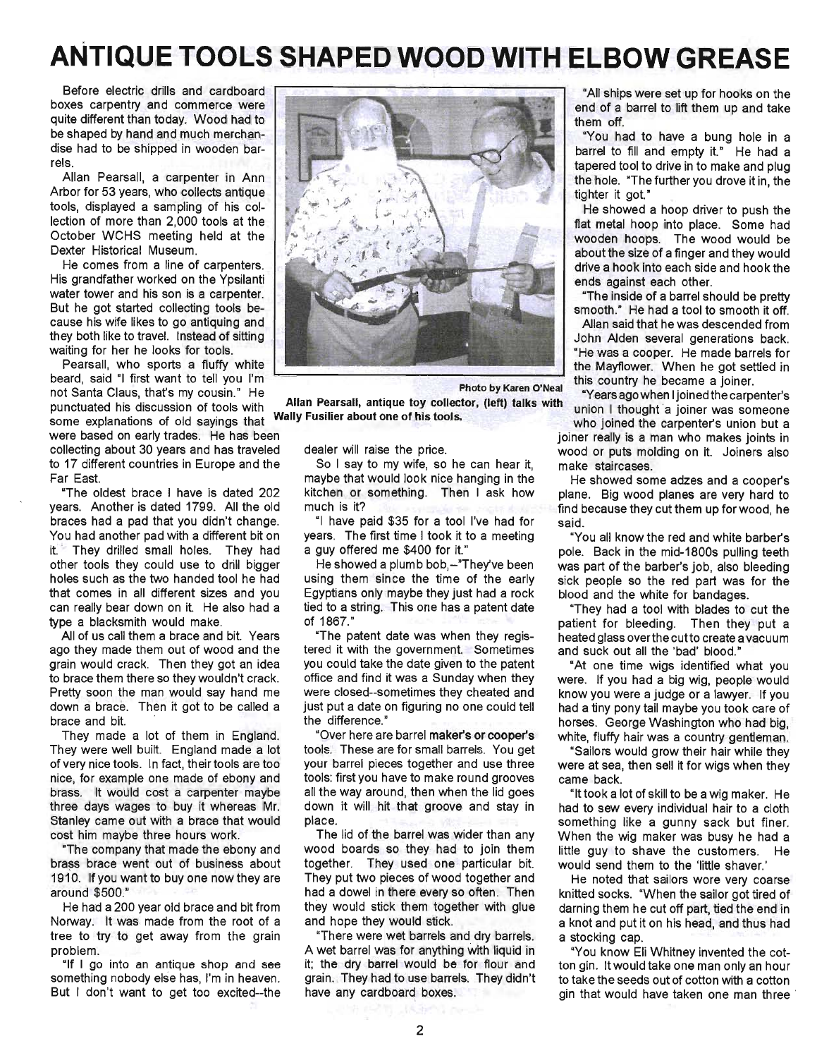# **ANTIQUE TOOLS SHAPED WOOD WITH ELBOW GREASE**

Before electric drills and cardboard boxes carpentry and commerce were quite different than today. Wood had to be shaped by hand and much merchandise had to be shipped in wooden barrels.

Allan Pearsall, a carpenter in Ann Arbor for 53 years, who collects antique tools, displayed a sampling of his collection of more than 2,000 tools at the October WCHS meeting held at the Dexter Historical Museum.

He comes from a line of carpenters. His grandfather worked on the Ypsilanti water tower and his son is a carpenter. But he got started collecting tools because his wife likes to go antiquing and they both like to travel. Instead of sitting waiting for her he looks for tools.

Pearsall, who sports a fluffy white beard, said "I first want to tell you I'm not Santa Claus, that's my cousin." He punctuated his discussion of tools with some explanations of old sayings that

were based on early trades. He has been collecting about 30 years and has traveled to 17 different countries in Europe and the Far East.

"The oldest brace I have is dated 202 years. Another is dated 1799. All the old braces had a pad that you didn't change. You had another pad with a different bit on it. They drilled small holes. They had other tools they could use to drill bigger holes such as the two handed tool he had that comes in all different sizes and you can really bear down on it. He also had a type a blacksmith would make.

All of us call them a brace and bit. Years ago they made them out of wood and the grain would crack, Then they got an idea to brace them there so they wouldn't crack. Pretty soon the man would say hand me down a brace. Then it got to be called a brace and bit. '

They made a lot of them in England. They were well built. England made a lot of very nice tools. In fact, their tools are too nice, for example one made of ebony and brass. It would cost a carpenter maybe three days wages to buy it whereas Mr. Stanley came out with a brace that would cost him maybe three hours work.

"The company that made the ebony and brass brace went out of business about 1910. If you want to buy one now they are around \$500."

He had a 200 year old brace and bit from Norway. It was made from the root of a, tree to try to get away from the grain problem.

"If I go into an antique shop and see something nobody else has, I'm in heaven. But I don't want to get too excited--the



Photo by Karen O'Neal Allan Pearsall, antique toy collector, (left) talks with

dealer will raise the price.

Wally Fusilier about one of his tools.

So I say to my wife, so he can hear it, maybe that would look nice hanging in the kitchen or something. Then I ask how much is it?

"I have paid \$35 for a tool I've had for years. The first time I took it to a meeting a guy offered me \$400 for it."

He showed a plumb bob,-"They've been using them since the time of the early Egyptians only maybe they just had a rock tied to a string. This one has a patent date of 1867."

"The patent date was when they registered it with the government. Sometimes you could take the date given to the patent office and find it was a Sunday when they were closed--sometimes they cheated and just put a date on figuring no one could tell the difference."

"Over here are barrel maker's or cooper's tools. These are for small barrels. You get your barrel pieces together and use three tools: first you have to make round grooves all the way around, then when the lid goes down it will hit that groove and stay in place.

The lid of the barrel was wider than any wood boards so they had to join them together. They used one particular bit. They put two pieces of wood together and had a dowel in there every so often. Then they would stick them together with glue and hope they would stick.

"There were wet barrels and dry barrels. A wet barrel was for anything with liquid in it; the dry barrel would be for flour and grain. They had to use barrels. They didn't have any cardboard boxes.

"All ships were set up for hooks on the end of a barrel to lift them up and take them off.

"You had to have a bung hole in a barrel to fill and empty it.' He had a tapered tool to drive in to make and plug the hole. "The further you drove it in, the tighter it got."

He showed a hoop driver to push the flat metal hoop into place. Some had wooden hoops. The wood would be about the size of a finger and they would drive a hook into each side and hook the ends against each other.

"The inside of a barrel should be pretty smooth." He had a tool to smooth it off

Allan said that he was descended from John Alden several generations back. "He was a cooper. He made barrels for the Mayflower. When he got settled in this country he became a joiner.

"Years ago when Ijoinedthecarpenter's union I thought 'a joiner was someone

who joined the carpenter's union but a joiner really is a man who makes joints in wood or puts molding on it. Joiners also make staircases.

He showed some adzes and a cooper's plane. Big wood planes are very hard to find because they cut them up for wood, he said.

"You all know the red and white barber's pole. Back in the mid-1800s pulling teeth was part of the barber's job, also bleeding sick people so the red part was for the blood and the white for bandages.

"They had a tool with blades to cut the patient for bleeding. Then they put a heated glass overthe cutto create a vacuum and suck out all the 'bad' blood.'

"At one time wigs identified what you were. If you had a big wig, people would know you were a judge or a lawyer. If you had a tiny pony tail maybe you took care of horses. George Washington who had big, white, fluffy hair was a country gentleman.

'Sailors would grow their hair while they were at sea, then sell it for wigs when they came back.

"It took a lot of skill to be a wig maker. He ' had to sew every individual hair to a cloth something like a gunny sack but finer. When the wig maker was busy he had a little guy to shave the customers. He would send them to the 'little shaver.'

He noted that sailors wore very coarse knitted socks. "When the sailor got tired of darning them he cut off part, tied the end in a knot and put it on his head, and thus had a stocking cap.

"You know Eli Whitney invented the cotton gin. It would take one man only an hour to take the seeds out of cotton with a cotton gin that would have taken one man three '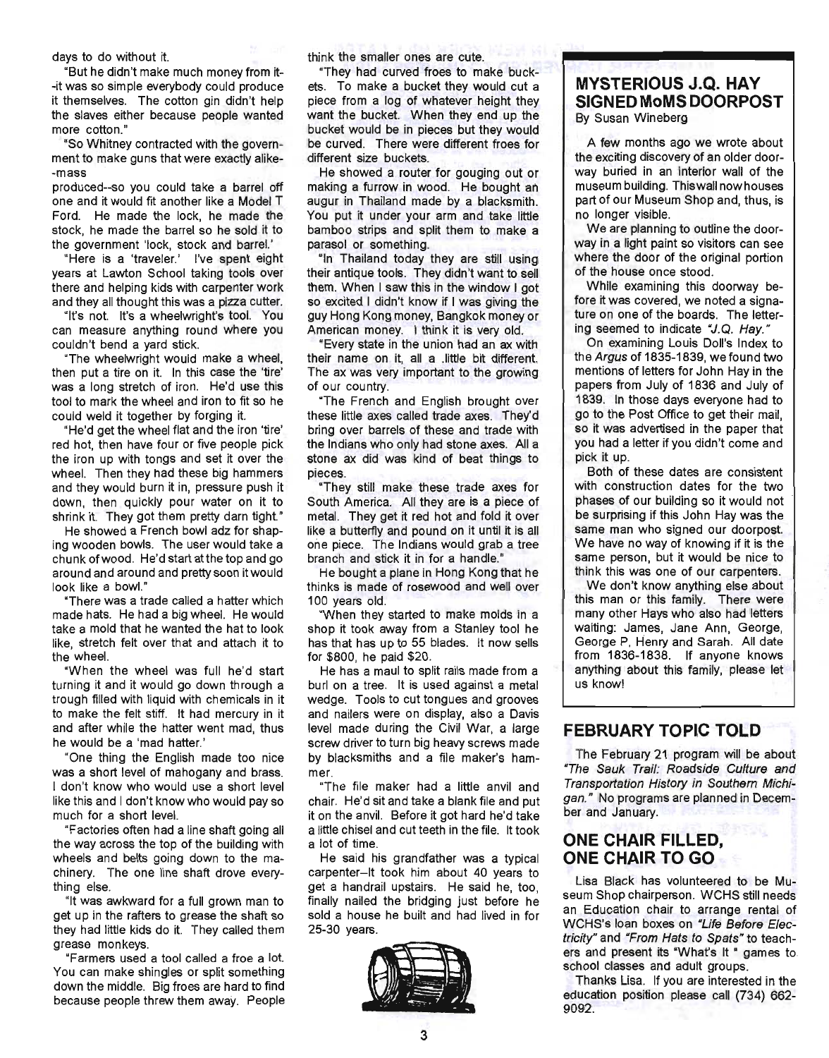days to do without it.

"But he didn't make much money from it- -it was so simple everybody could produce it themselves. The cotton gin didn't help the slaves either because people wanted more cotton."

"So Whitney contracted with the government to make guns that were exactly alike--mass

produced--so you could take a barrel off one and it would fit another like a Model T Ford. He made the lock, he made the stock, he made the barrel so he sold it to the government 'lock, stock and barrel.'

"Here is a 'traveler.' I've spent eight years at Lawton School taking tools over there and helping kids with carpenter work and they all thought this was a pizza cutter.

"It's not. It's a wheelwright's tool. You can measure anything round where you couldn't bend a yard stick.

"The wheelwright would make a wheel, then put a tire on it. In this case the 'tire' was a long stretch of iron. He'd use this tool to mark the wheel and iron to fit so he could weld it together by forging it.

"He'd get the wheel flat and the iron 'tire' red hot, then have four or five people pick the iron up with tongs and set it over the wheel. Then they had these big hammers and they would burn it in, pressure push it down, then quickly pour water on it to shrink it. They got them pretty darn tight."

He showed a French bowl adz for shaping wooden bowls. The user would take a chunk of wood. He'd start atthe top and go around and around and pretty soon it would look like a bowl."

"There was a trade called a hatter which made hats. He had a big wheel. He would take a mold that he wanted the hat to look like, stretch felt over that and attach it to the wheel.

"When the wheel was full he'd start turning it and it would go down through a trough filled with liquid with chemicals in it to make the felt stiff. It had mercury in it and after while the hatter went mad, thus he would be a 'mad hatter.'

"One thing the English made too nice was a short level of mahogany and brass. I don't know who would use a short level like this and I don't know who would pay so much for a short level.

"Factories often had a line shaft going all the way across the top of the building with wheels and belts going down to the machinery. The one line shaft drove everything else.

"It was awkward for a full grown man to get up in the rafters to grease the shaft so they had little kids do it. They called them grease monkeys.

"Farmers used a tool called a froe a lot. You can make shingles or split something down the middle. Big froes are hard to find because people threw them away. People think the smaller ones are cute.

"They had curved froes to make buckets. To make a bucket they would cut a piece from a log of whatever height they want the bucket. When they end up the bucket would be in pieces but they would be curved. There were different froes for different size buckets.

He showed a router for gouging out or making a furrow in wood. He bought an augur in Thailand made by a blacksmith. You put it under your arm and take little bamboo strips and split them to make a parasol or something.

"In Thailand today they are still using their antique tools. They didn't want to sell them. When I saw this in the window I got so excited I didn't know if I was giving the guy Hong Kong money, Bangkok money or American money. I think it is very old.

"Every state in the union had an ax with their name on it, all a .Iittle bit different. The ax was very important to the growing of our country.

"The French and English brought over these little axes called trade axes. They'd bring over barrels of these and trade with the Indians who only had stone axes. All a stone ax did was kind of beat things to pieces.

"They still make these trade axes for South America. All they are is a piece of metal. They get it red hot and fold it over like a butterfly and pound on it until it is all one piece. The Indians would grab a tree branch and stick it in for a handle."

He bought a plane in Hong Kong that he thinks is made of rosewood and well over 100 years old.

"When they started to make molds in a shop it took away from a Stanley tool he has that has up to 55 blades. It now sells for \$800, he paid \$20.

He has a maul to split rails made from a burl on a tree. It is used against a metal wedge. Tools to cut tongues and grooves and nailers were on display, also a Davis level made during the Civil War, a large screw driver to turn big heavy screws made by blacksmiths and a file maker's hammer.

"The file maker had a little anvil and chair. He'd sit and take a blank file and put it on the anvil. Before it got hard he'd take a little chisel and cut teeth in the file. It took a lot of time.

He said his grandfather was a typical carpenter-It took him about 40 years to get a handrail upstairs. He said he, too, finally nailed the bridging just before he sold a house he built and had lived in for 25-30 years.



#### **MYSTERIOUS J.Q. HAY SIGNED MoMS DOORPOST**  By Susan Wineberg

A few months ago we wrote about the exciting discovery of an older doorway buried in an interior wall of the museum building. Thiswall now houses part of our Museum Shop and, thus, is no longer visible.

We are planning to outline the doorway in a light paint so visitors can see where the door of the original portion of the house once stood.

While examining this doorway before it was covered, we noted a signature on one of the boards. The lettering seemed to indicate "J.Q. Hay. "

On examining Louis Doll's Index to the Argus of 1835-1839, we found two mentions of letters for John Hay in the papers from July of 1836 and July of 1839. In those days everyone had to go to the Post Office to get their mail, so it was advertised in the paper that you had a letter if you didn't come and pick it up.

Both of these dates are consistent with construction dates for the two phases of our building so it would not be surprising if this John Hay was the same man who signed our doorpost. We have no way of knowing if it is the same person, but it would be nice to think this was one of our carpenters.

We don't know anything else about this man or this family. There were many other Hays who also had letters waiting: James, Jane Ann, George, George P, Henry and Sarah. All date from 1836-1838. If anyone knows anything about this family, please let us know!

#### **FEBRUARY TOPIC TOLD**

The February 21 program will be about "The Sauk Trail: Roadside Culture and Transportation History in Southern Michigan." No programs are planned in December and January.

### **ONE CHAIR FILLED, ONE CHAIR TO GO**

Lisa Black has volunteered to be Museum Shop chairperson. WCHS still needs an Education chair to arrange rental of WCHS's loan boxes on "Ufe Before Electricity" and "From Hats to Spats" to teachers and present its "What's It " games to school classes and adult groups.

Thanks Lisa. If you are interested in the education position please call (734) 662- 9092.